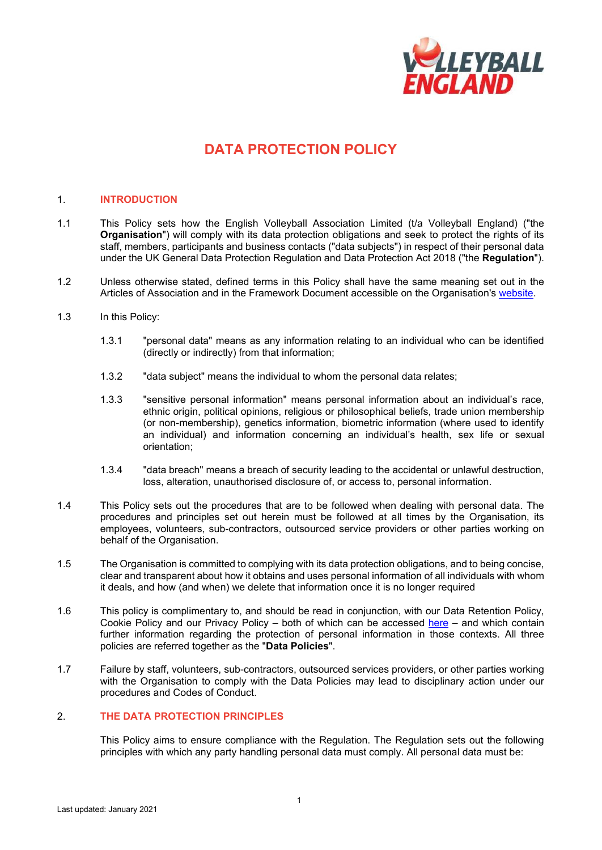

# **DATA PROTECTION POLICY**

## 1. **INTRODUCTION**

- 1.1 This Policy sets how the English Volleyball Association Limited (t/a Volleyball England) ("the **Organisation**") will comply with its data protection obligations and seek to protect the rights of its staff, members, participants and business contacts ("data subjects") in respect of their personal data under the UK General Data Protection Regulation and Data Protection Act 2018 ("the **Regulation**").
- 1.2 Unless otherwise stated, defined terms in this Policy shall have the same meaning set out in the Articles of Association and in the Framework Document accessible on the Organisation's [website.](http://www.volleyballengland.org/about_us/about_us_/governance)
- 1.3 In this Policy:
	- 1.3.1 "personal data" means as any information relating to an individual who can be identified (directly or indirectly) from that information;
	- 1.3.2 "data subject" means the individual to whom the personal data relates;
	- 1.3.3 "sensitive personal information" means personal information about an individual's race, ethnic origin, political opinions, religious or philosophical beliefs, trade union membership (or non-membership), genetics information, biometric information (where used to identify an individual) and information concerning an individual's health, sex life or sexual orientation;
	- 1.3.4 "data breach" means a breach of security leading to the accidental or unlawful destruction, loss, alteration, unauthorised disclosure of, or access to, personal information.
- 1.4 This Policy sets out the procedures that are to be followed when dealing with personal data. The procedures and principles set out herein must be followed at all times by the Organisation, its employees, volunteers, sub-contractors, outsourced service providers or other parties working on behalf of the Organisation.
- 1.5 The Organisation is committed to complying with its data protection obligations, and to being concise, clear and transparent about how it obtains and uses personal information of all individuals with whom it deals, and how (and when) we delete that information once it is no longer required
- 1.6 This policy is complimentary to, and should be read in conjunction, with our Data Retention Policy, Cookie Policy and our Privacy Policy – both of which can be accessed [here](http://www.volleyballengland.org/about_us/about_us_/governance) – and which contain further information regarding the protection of personal information in those contexts. All three policies are referred together as the "**Data Policies**".
- 1.7 Failure by staff, volunteers, sub-contractors, outsourced services providers, or other parties working with the Organisation to comply with the Data Policies may lead to disciplinary action under our procedures and Codes of Conduct.

### 2. **THE DATA PROTECTION PRINCIPLES**

This Policy aims to ensure compliance with the Regulation. The Regulation sets out the following principles with which any party handling personal data must comply. All personal data must be: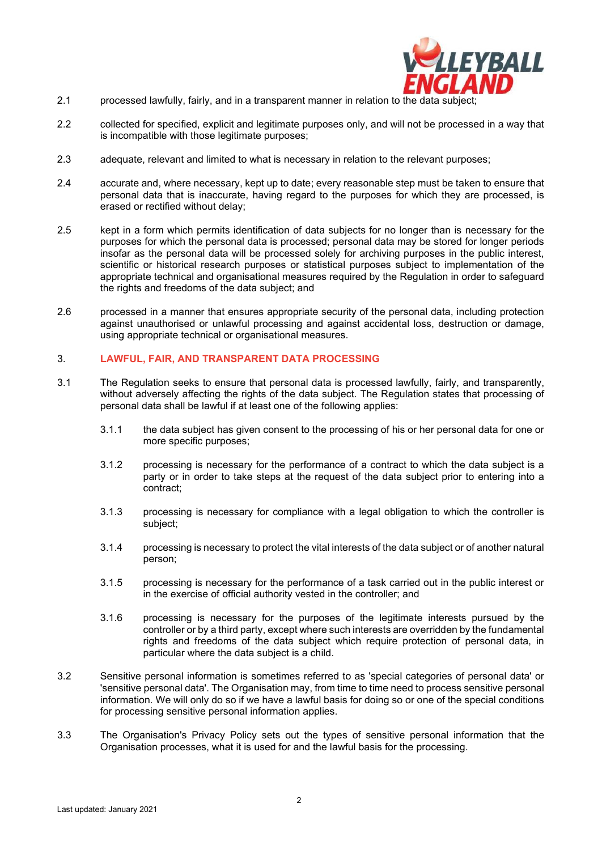

- 2.1 processed lawfully, fairly, and in a transparent manner in relation to the data subject
- 2.2 collected for specified, explicit and legitimate purposes only, and will not be processed in a way that is incompatible with those legitimate purposes;
- 2.3 adequate, relevant and limited to what is necessary in relation to the relevant purposes;
- 2.4 accurate and, where necessary, kept up to date; every reasonable step must be taken to ensure that personal data that is inaccurate, having regard to the purposes for which they are processed, is erased or rectified without delay;
- 2.5 kept in a form which permits identification of data subjects for no longer than is necessary for the purposes for which the personal data is processed; personal data may be stored for longer periods insofar as the personal data will be processed solely for archiving purposes in the public interest, scientific or historical research purposes or statistical purposes subject to implementation of the appropriate technical and organisational measures required by the Regulation in order to safeguard the rights and freedoms of the data subject; and
- 2.6 processed in a manner that ensures appropriate security of the personal data, including protection against unauthorised or unlawful processing and against accidental loss, destruction or damage, using appropriate technical or organisational measures.

## 3. **LAWFUL, FAIR, AND TRANSPARENT DATA PROCESSING**

- 3.1 The Regulation seeks to ensure that personal data is processed lawfully, fairly, and transparently, without adversely affecting the rights of the data subject. The Regulation states that processing of personal data shall be lawful if at least one of the following applies:
	- 3.1.1 the data subject has given consent to the processing of his or her personal data for one or more specific purposes;
	- 3.1.2 processing is necessary for the performance of a contract to which the data subject is a party or in order to take steps at the request of the data subject prior to entering into a contract;
	- 3.1.3 processing is necessary for compliance with a legal obligation to which the controller is subject;
	- 3.1.4 processing is necessary to protect the vital interests of the data subject or of another natural person;
	- 3.1.5 processing is necessary for the performance of a task carried out in the public interest or in the exercise of official authority vested in the controller; and
	- 3.1.6 processing is necessary for the purposes of the legitimate interests pursued by the controller or by a third party, except where such interests are overridden by the fundamental rights and freedoms of the data subject which require protection of personal data, in particular where the data subject is a child.
- 3.2 Sensitive personal information is sometimes referred to as 'special categories of personal data' or 'sensitive personal data'. The Organisation may, from time to time need to process sensitive personal information. We will only do so if we have a lawful basis for doing so or one of the special conditions for processing sensitive personal information applies.
- 3.3 The Organisation's Privacy Policy sets out the types of sensitive personal information that the Organisation processes, what it is used for and the lawful basis for the processing.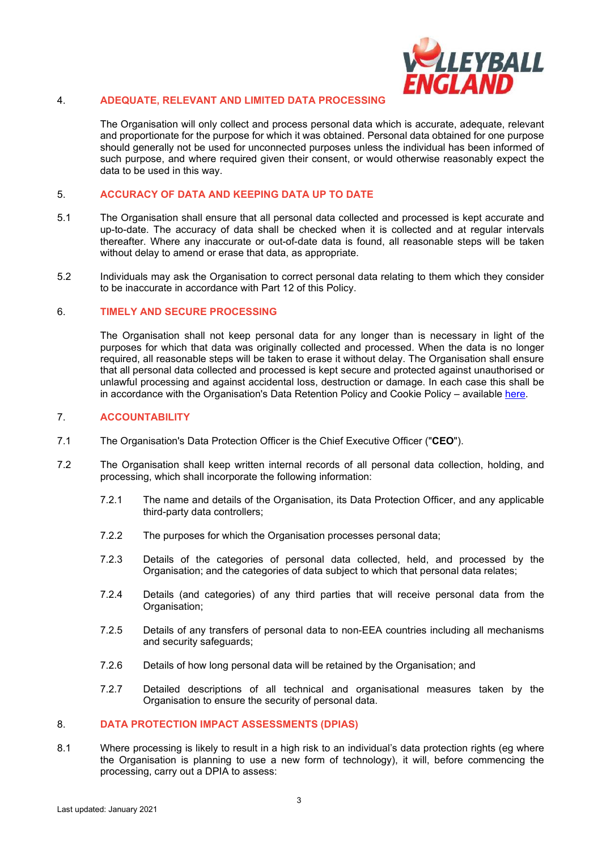

# 4. **ADEQUATE, RELEVANT AND LIMITED DATA PROCESSING**

The Organisation will only collect and process personal data which is accurate, adequate, relevant and proportionate for the purpose for which it was obtained. Personal data obtained for one purpose should generally not be used for unconnected purposes unless the individual has been informed of such purpose, and where required given their consent, or would otherwise reasonably expect the data to be used in this way.

## 5. **ACCURACY OF DATA AND KEEPING DATA UP TO DATE**

- 5.1 The Organisation shall ensure that all personal data collected and processed is kept accurate and up-to-date. The accuracy of data shall be checked when it is collected and at regular intervals thereafter. Where any inaccurate or out-of-date data is found, all reasonable steps will be taken without delay to amend or erase that data, as appropriate.
- 5.2 Individuals may ask the Organisation to correct personal data relating to them which they consider to be inaccurate in accordance with Part [12](#page-5-0) of this Policy.

#### 6. **TIMELY AND SECURE PROCESSING**

The Organisation shall not keep personal data for any longer than is necessary in light of the purposes for which that data was originally collected and processed. When the data is no longer required, all reasonable steps will be taken to erase it without delay. The Organisation shall ensure that all personal data collected and processed is kept secure and protected against unauthorised or unlawful processing and against accidental loss, destruction or damage. In each case this shall be in accordance with the Organisation's Data Retention Policy and Cookie Policy – available [here.](http://www.volleyballengland.org/about_us/about_us_/governance)

#### 7. **ACCOUNTABILITY**

- 7.1 The Organisation's Data Protection Officer is the Chief Executive Officer ("**CEO**").
- 7.2 The Organisation shall keep written internal records of all personal data collection, holding, and processing, which shall incorporate the following information:
	- 7.2.1 The name and details of the Organisation, its Data Protection Officer, and any applicable third-party data controllers;
	- 7.2.2 The purposes for which the Organisation processes personal data;
	- 7.2.3 Details of the categories of personal data collected, held, and processed by the Organisation; and the categories of data subject to which that personal data relates;
	- 7.2.4 Details (and categories) of any third parties that will receive personal data from the Organisation:
	- 7.2.5 Details of any transfers of personal data to non-EEA countries including all mechanisms and security safeguards;
	- 7.2.6 Details of how long personal data will be retained by the Organisation; and
	- 7.2.7 Detailed descriptions of all technical and organisational measures taken by the Organisation to ensure the security of personal data.

# 8. **DATA PROTECTION IMPACT ASSESSMENTS (DPIAS)**

8.1 Where processing is likely to result in a high risk to an individual's data protection rights (eg where the Organisation is planning to use a new form of technology), it will, before commencing the processing, carry out a DPIA to assess: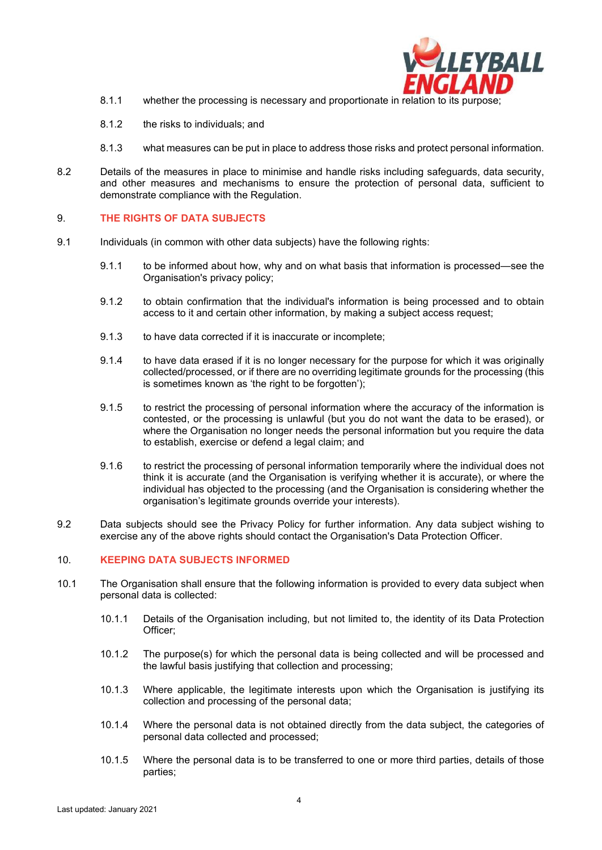

- 8.1.1 whether the processing is necessary and proportionate in relation to its purpose;
- 8.1.2 the risks to individuals; and
- 8.1.3 what measures can be put in place to address those risks and protect personal information.
- 8.2 Details of the measures in place to minimise and handle risks including safeguards, data security, and other measures and mechanisms to ensure the protection of personal data, sufficient to demonstrate compliance with the Regulation.

#### 9. **THE RIGHTS OF DATA SUBJECTS**

- 9.1 Individuals (in common with other data subjects) have the following rights:
	- 9.1.1 to be informed about how, why and on what basis that information is processed—see the Organisation's privacy policy;
	- 9.1.2 to obtain confirmation that the individual's information is being processed and to obtain access to it and certain other information, by making a subject access request;
	- 9.1.3 to have data corrected if it is inaccurate or incomplete;
	- 9.1.4 to have data erased if it is no longer necessary for the purpose for which it was originally collected/processed, or if there are no overriding legitimate grounds for the processing (this is sometimes known as 'the right to be forgotten');
	- 9.1.5 to restrict the processing of personal information where the accuracy of the information is contested, or the processing is unlawful (but you do not want the data to be erased), or where the Organisation no longer needs the personal information but you require the data to establish, exercise or defend a legal claim; and
	- 9.1.6 to restrict the processing of personal information temporarily where the individual does not think it is accurate (and the Organisation is verifying whether it is accurate), or where the individual has objected to the processing (and the Organisation is considering whether the organisation's legitimate grounds override your interests).
- 9.2 Data subjects should see the Privacy Policy for further information. Any data subject wishing to exercise any of the above rights should contact the Organisation's Data Protection Officer.

## 10. **KEEPING DATA SUBJECTS INFORMED**

- <span id="page-3-0"></span>10.1 The Organisation shall ensure that the following information is provided to every data subject when personal data is collected:
	- 10.1.1 Details of the Organisation including, but not limited to, the identity of its Data Protection Officer;
	- 10.1.2 The purpose(s) for which the personal data is being collected and will be processed and the lawful basis justifying that collection and processing;
	- 10.1.3 Where applicable, the legitimate interests upon which the Organisation is justifying its collection and processing of the personal data;
	- 10.1.4 Where the personal data is not obtained directly from the data subject, the categories of personal data collected and processed;
	- 10.1.5 Where the personal data is to be transferred to one or more third parties, details of those parties;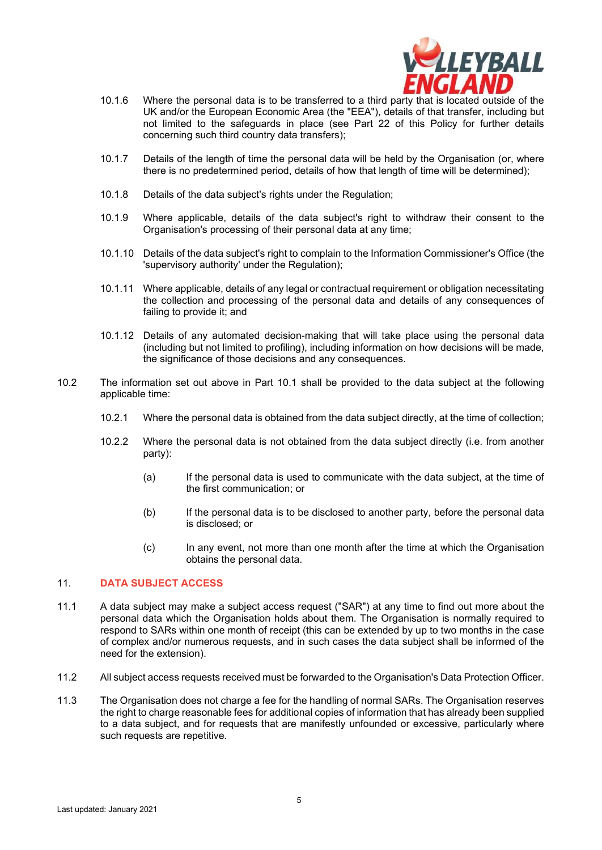

- 10.1.6 Where the personal data is to be transferred to a third party that is located outside of the UK and/or the European Economic Area (the "EEA"), details of that transfer, including but not limited to the safeguards in place (see Part [22](#page-9-0) of this Policy for further details concerning such third country data transfers);
- 10.1.7 Details of the length of time the personal data will be held by the Organisation (or, where there is no predetermined period, details of how that length of time will be determined);
- 10.1.8 Details of the data subject's rights under the Regulation;
- 10.1.9 Where applicable, details of the data subject's right to withdraw their consent to the Organisation's processing of their personal data at any time;
- 10.1.10 Details of the data subject's right to complain to the Information Commissioner's Office (the 'supervisory authority' under the Regulation);
- 10.1.11 Where applicable, details of any legal or contractual requirement or obligation necessitating the collection and processing of the personal data and details of any consequences of failing to provide it; and
- 10.1.12 Details of any automated decision-making that will take place using the personal data (including but not limited to profiling), including information on how decisions will be made, the significance of those decisions and any consequences.
- 10.2 The information set out above in Part [10.1](#page-3-0) shall be provided to the data subject at the following applicable time:
	- 10.2.1 Where the personal data is obtained from the data subject directly, at the time of collection;
	- 10.2.2 Where the personal data is not obtained from the data subject directly (i.e. from another party):
		- (a) If the personal data is used to communicate with the data subject, at the time of the first communication; or
		- (b) If the personal data is to be disclosed to another party, before the personal data is disclosed; or
		- (c) In any event, not more than one month after the time at which the Organisation obtains the personal data.

#### 11. **DATA SUBJECT ACCESS**

- 11.1 A data subject may make a subject access request ("SAR") at any time to find out more about the personal data which the Organisation holds about them. The Organisation is normally required to respond to SARs within one month of receipt (this can be extended by up to two months in the case of complex and/or numerous requests, and in such cases the data subject shall be informed of the need for the extension).
- 11.2 All subject access requests received must be forwarded to the Organisation's Data Protection Officer.
- 11.3 The Organisation does not charge a fee for the handling of normal SARs. The Organisation reserves the right to charge reasonable fees for additional copies of information that has already been supplied to a data subject, and for requests that are manifestly unfounded or excessive, particularly where such requests are repetitive.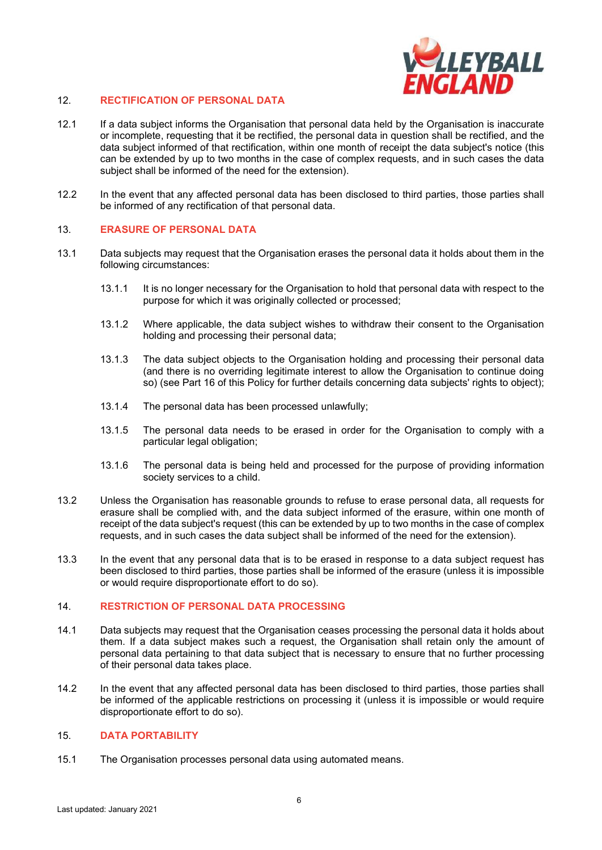

# <span id="page-5-0"></span>12. **RECTIFICATION OF PERSONAL DATA**

- 12.1 If a data subject informs the Organisation that personal data held by the Organisation is inaccurate or incomplete, requesting that it be rectified, the personal data in question shall be rectified, and the data subject informed of that rectification, within one month of receipt the data subject's notice (this can be extended by up to two months in the case of complex requests, and in such cases the data subject shall be informed of the need for the extension).
- 12.2 In the event that any affected personal data has been disclosed to third parties, those parties shall be informed of any rectification of that personal data.

## 13. **ERASURE OF PERSONAL DATA**

- 13.1 Data subjects may request that the Organisation erases the personal data it holds about them in the following circumstances:
	- 13.1.1 It is no longer necessary for the Organisation to hold that personal data with respect to the purpose for which it was originally collected or processed;
	- 13.1.2 Where applicable, the data subject wishes to withdraw their consent to the Organisation holding and processing their personal data;
	- 13.1.3 The data subject objects to the Organisation holding and processing their personal data (and there is no overriding legitimate interest to allow the Organisation to continue doing so) (see Part [16](#page-6-0) of this Policy for further details concerning data subjects' rights to object);
	- 13.1.4 The personal data has been processed unlawfully;
	- 13.1.5 The personal data needs to be erased in order for the Organisation to comply with a particular legal obligation;
	- 13.1.6 The personal data is being held and processed for the purpose of providing information society services to a child.
- 13.2 Unless the Organisation has reasonable grounds to refuse to erase personal data, all requests for erasure shall be complied with, and the data subject informed of the erasure, within one month of receipt of the data subject's request (this can be extended by up to two months in the case of complex requests, and in such cases the data subject shall be informed of the need for the extension).
- 13.3 In the event that any personal data that is to be erased in response to a data subject request has been disclosed to third parties, those parties shall be informed of the erasure (unless it is impossible or would require disproportionate effort to do so).

#### 14. **RESTRICTION OF PERSONAL DATA PROCESSING**

- 14.1 Data subjects may request that the Organisation ceases processing the personal data it holds about them. If a data subject makes such a request, the Organisation shall retain only the amount of personal data pertaining to that data subject that is necessary to ensure that no further processing of their personal data takes place.
- 14.2 In the event that any affected personal data has been disclosed to third parties, those parties shall be informed of the applicable restrictions on processing it (unless it is impossible or would require disproportionate effort to do so).

# 15. **DATA PORTABILITY**

15.1 The Organisation processes personal data using automated means.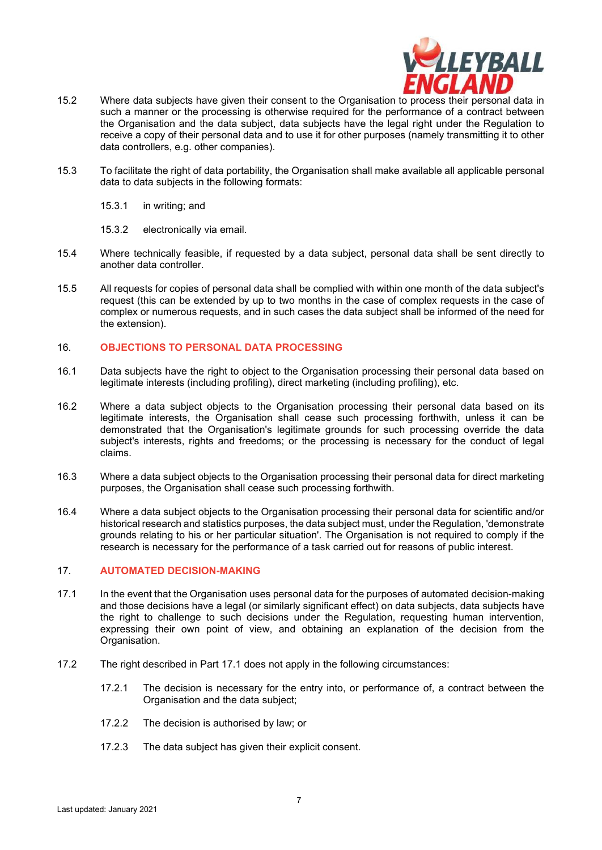

- 15.2 Where data subjects have given their consent to the Organisation to process their personal data in such a manner or the processing is otherwise required for the performance of a contract between the Organisation and the data subject, data subjects have the legal right under the Regulation to receive a copy of their personal data and to use it for other purposes (namely transmitting it to other data controllers, e.g. other companies).
- 15.3 To facilitate the right of data portability, the Organisation shall make available all applicable personal data to data subjects in the following formats:
	- 15.3.1 in writing; and
	- 15.3.2 electronically via email.
- 15.4 Where technically feasible, if requested by a data subject, personal data shall be sent directly to another data controller.
- 15.5 All requests for copies of personal data shall be complied with within one month of the data subject's request (this can be extended by up to two months in the case of complex requests in the case of complex or numerous requests, and in such cases the data subject shall be informed of the need for the extension).

## <span id="page-6-0"></span>16. **OBJECTIONS TO PERSONAL DATA PROCESSING**

- 16.1 Data subjects have the right to object to the Organisation processing their personal data based on legitimate interests (including profiling), direct marketing (including profiling), etc.
- 16.2 Where a data subject objects to the Organisation processing their personal data based on its legitimate interests, the Organisation shall cease such processing forthwith, unless it can be demonstrated that the Organisation's legitimate grounds for such processing override the data subject's interests, rights and freedoms; or the processing is necessary for the conduct of legal claims.
- 16.3 Where a data subject objects to the Organisation processing their personal data for direct marketing purposes, the Organisation shall cease such processing forthwith.
- 16.4 Where a data subject objects to the Organisation processing their personal data for scientific and/or historical research and statistics purposes, the data subject must, under the Regulation, 'demonstrate grounds relating to his or her particular situation'. The Organisation is not required to comply if the research is necessary for the performance of a task carried out for reasons of public interest.

#### 17. **AUTOMATED DECISION-MAKING**

- <span id="page-6-1"></span>17.1 In the event that the Organisation uses personal data for the purposes of automated decision-making and those decisions have a legal (or similarly significant effect) on data subjects, data subjects have the right to challenge to such decisions under the Regulation, requesting human intervention, expressing their own point of view, and obtaining an explanation of the decision from the Organisation.
- 17.2 The right described in Part [17.1](#page-6-1) does not apply in the following circumstances:
	- 17.2.1 The decision is necessary for the entry into, or performance of, a contract between the Organisation and the data subject;
	- 17.2.2 The decision is authorised by law; or
	- 17.2.3 The data subject has given their explicit consent.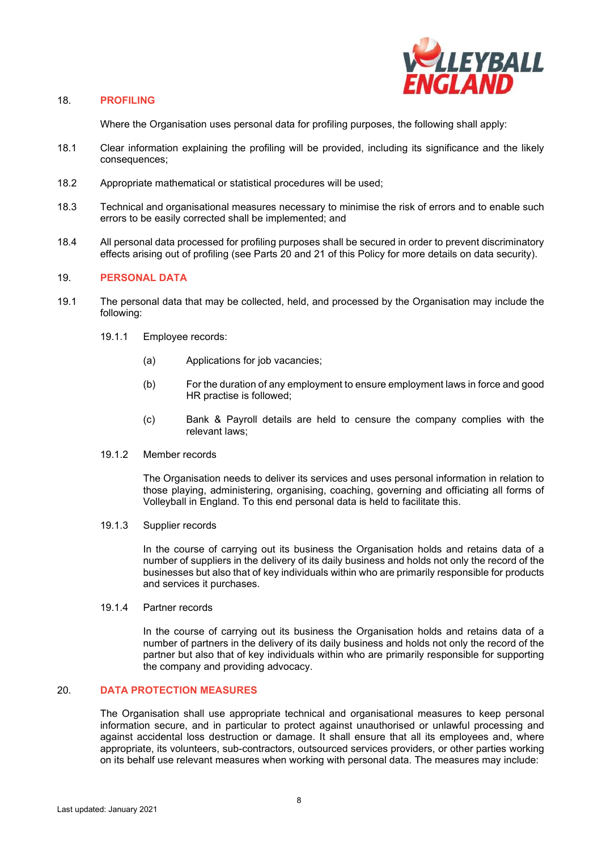

#### 18. **PROFILING**

Where the Organisation uses personal data for profiling purposes, the following shall apply:

- 18.1 Clear information explaining the profiling will be provided, including its significance and the likely consequences;
- 18.2 Appropriate mathematical or statistical procedures will be used;
- 18.3 Technical and organisational measures necessary to minimise the risk of errors and to enable such errors to be easily corrected shall be implemented; and
- 18.4 All personal data processed for profiling purposes shall be secured in order to prevent discriminatory effects arising out of profiling (see Parts [20](#page-7-0) and [21](#page-9-1) of this Policy for more details on data security).

# 19. **PERSONAL DATA**

- 19.1 The personal data that may be collected, held, and processed by the Organisation may include the following:
	- 19.1.1 Employee records:
		- (a) Applications for job vacancies;
		- (b) For the duration of any employment to ensure employment laws in force and good HR practise is followed;
		- (c) Bank & Payroll details are held to censure the company complies with the relevant laws;
	- 19.1.2 Member records

The Organisation needs to deliver its services and uses personal information in relation to those playing, administering, organising, coaching, governing and officiating all forms of Volleyball in England. To this end personal data is held to facilitate this.

19.1.3 Supplier records

In the course of carrying out its business the Organisation holds and retains data of a number of suppliers in the delivery of its daily business and holds not only the record of the businesses but also that of key individuals within who are primarily responsible for products and services it purchases.

19.1.4 Partner records

In the course of carrying out its business the Organisation holds and retains data of a number of partners in the delivery of its daily business and holds not only the record of the partner but also that of key individuals within who are primarily responsible for supporting the company and providing advocacy.

# <span id="page-7-0"></span>20. **DATA PROTECTION MEASURES**

The Organisation shall use appropriate technical and organisational measures to keep personal information secure, and in particular to protect against unauthorised or unlawful processing and against accidental loss destruction or damage. It shall ensure that all its employees and, where appropriate, its volunteers, sub-contractors, outsourced services providers, or other parties working on its behalf use relevant measures when working with personal data. The measures may include: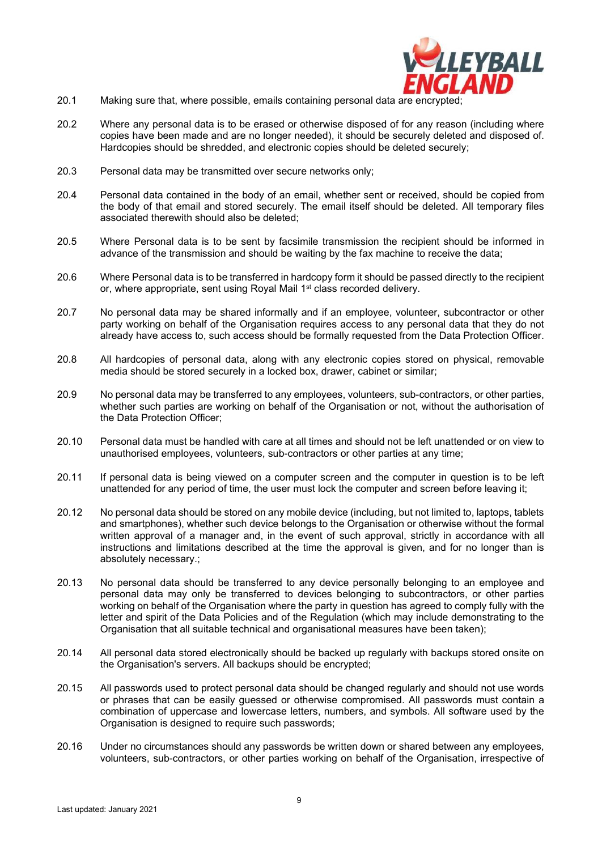

- 20.1 Making sure that, where possible, emails containing personal data are encrypted;
- 20.2 Where any personal data is to be erased or otherwise disposed of for any reason (including where copies have been made and are no longer needed), it should be securely deleted and disposed of. Hardcopies should be shredded, and electronic copies should be deleted securely;
- 20.3 Personal data may be transmitted over secure networks only;
- 20.4 Personal data contained in the body of an email, whether sent or received, should be copied from the body of that email and stored securely. The email itself should be deleted. All temporary files associated therewith should also be deleted;
- 20.5 Where Personal data is to be sent by facsimile transmission the recipient should be informed in advance of the transmission and should be waiting by the fax machine to receive the data;
- 20.6 Where Personal data is to be transferred in hardcopy form it should be passed directly to the recipient or, where appropriate, sent using Royal Mail 1<sup>st</sup> class recorded delivery.
- 20.7 No personal data may be shared informally and if an employee, volunteer, subcontractor or other party working on behalf of the Organisation requires access to any personal data that they do not already have access to, such access should be formally requested from the Data Protection Officer.
- 20.8 All hardcopies of personal data, along with any electronic copies stored on physical, removable media should be stored securely in a locked box, drawer, cabinet or similar;
- 20.9 No personal data may be transferred to any employees, volunteers, sub-contractors, or other parties, whether such parties are working on behalf of the Organisation or not, without the authorisation of the Data Protection Officer;
- 20.10 Personal data must be handled with care at all times and should not be left unattended or on view to unauthorised employees, volunteers, sub-contractors or other parties at any time;
- 20.11 If personal data is being viewed on a computer screen and the computer in question is to be left unattended for any period of time, the user must lock the computer and screen before leaving it;
- 20.12 No personal data should be stored on any mobile device (including, but not limited to, laptops, tablets and smartphones), whether such device belongs to the Organisation or otherwise without the formal written approval of a manager and, in the event of such approval, strictly in accordance with all instructions and limitations described at the time the approval is given, and for no longer than is absolutely necessary.;
- 20.13 No personal data should be transferred to any device personally belonging to an employee and personal data may only be transferred to devices belonging to subcontractors, or other parties working on behalf of the Organisation where the party in question has agreed to comply fully with the letter and spirit of the Data Policies and of the Regulation (which may include demonstrating to the Organisation that all suitable technical and organisational measures have been taken);
- 20.14 All personal data stored electronically should be backed up regularly with backups stored onsite on the Organisation's servers. All backups should be encrypted;
- 20.15 All passwords used to protect personal data should be changed regularly and should not use words or phrases that can be easily guessed or otherwise compromised. All passwords must contain a combination of uppercase and lowercase letters, numbers, and symbols. All software used by the Organisation is designed to require such passwords;
- 20.16 Under no circumstances should any passwords be written down or shared between any employees, volunteers, sub-contractors, or other parties working on behalf of the Organisation, irrespective of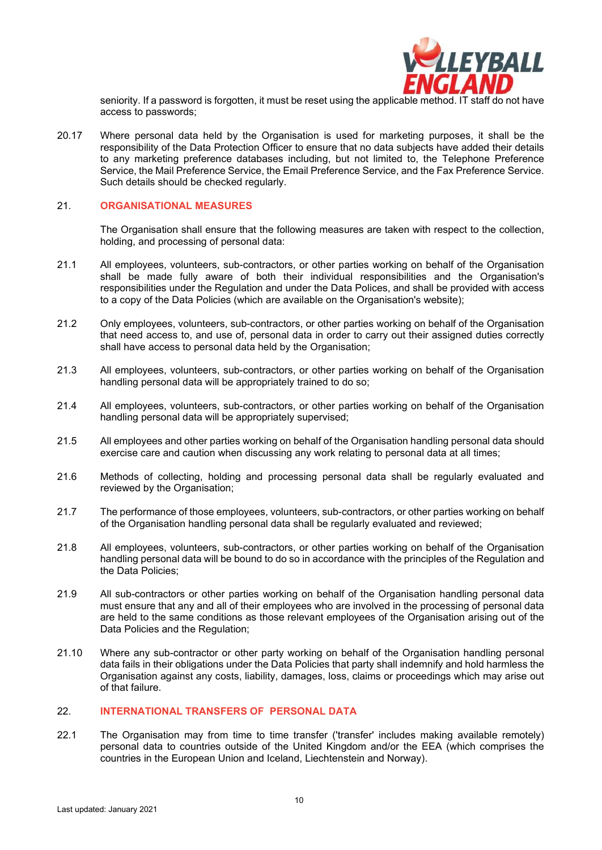

seniority. If a password is forgotten, it must be reset using the applicable method. IT staff do not have access to passwords;

20.17 Where personal data held by the Organisation is used for marketing purposes, it shall be the responsibility of the Data Protection Officer to ensure that no data subjects have added their details to any marketing preference databases including, but not limited to, the Telephone Preference Service, the Mail Preference Service, the Email Preference Service, and the Fax Preference Service. Such details should be checked regularly.

#### <span id="page-9-1"></span>21. **ORGANISATIONAL MEASURES**

The Organisation shall ensure that the following measures are taken with respect to the collection, holding, and processing of personal data:

- 21.1 All employees, volunteers, sub-contractors, or other parties working on behalf of the Organisation shall be made fully aware of both their individual responsibilities and the Organisation's responsibilities under the Regulation and under the Data Polices, and shall be provided with access to a copy of the Data Policies (which are available on the Organisation's website);
- 21.2 Only employees, volunteers, sub-contractors, or other parties working on behalf of the Organisation that need access to, and use of, personal data in order to carry out their assigned duties correctly shall have access to personal data held by the Organisation;
- 21.3 All employees, volunteers, sub-contractors, or other parties working on behalf of the Organisation handling personal data will be appropriately trained to do so;
- 21.4 All employees, volunteers, sub-contractors, or other parties working on behalf of the Organisation handling personal data will be appropriately supervised;
- 21.5 All employees and other parties working on behalf of the Organisation handling personal data should exercise care and caution when discussing any work relating to personal data at all times;
- 21.6 Methods of collecting, holding and processing personal data shall be regularly evaluated and reviewed by the Organisation;
- 21.7 The performance of those employees, volunteers, sub-contractors, or other parties working on behalf of the Organisation handling personal data shall be regularly evaluated and reviewed;
- 21.8 All employees, volunteers, sub-contractors, or other parties working on behalf of the Organisation handling personal data will be bound to do so in accordance with the principles of the Regulation and the Data Policies;
- 21.9 All sub-contractors or other parties working on behalf of the Organisation handling personal data must ensure that any and all of their employees who are involved in the processing of personal data are held to the same conditions as those relevant employees of the Organisation arising out of the Data Policies and the Regulation;
- 21.10 Where any sub-contractor or other party working on behalf of the Organisation handling personal data fails in their obligations under the Data Policies that party shall indemnify and hold harmless the Organisation against any costs, liability, damages, loss, claims or proceedings which may arise out of that failure.

#### <span id="page-9-0"></span>22. **INTERNATIONAL TRANSFERS OF PERSONAL DATA**

22.1 The Organisation may from time to time transfer ('transfer' includes making available remotely) personal data to countries outside of the United Kingdom and/or the EEA (which comprises the countries in the European Union and Iceland, Liechtenstein and Norway).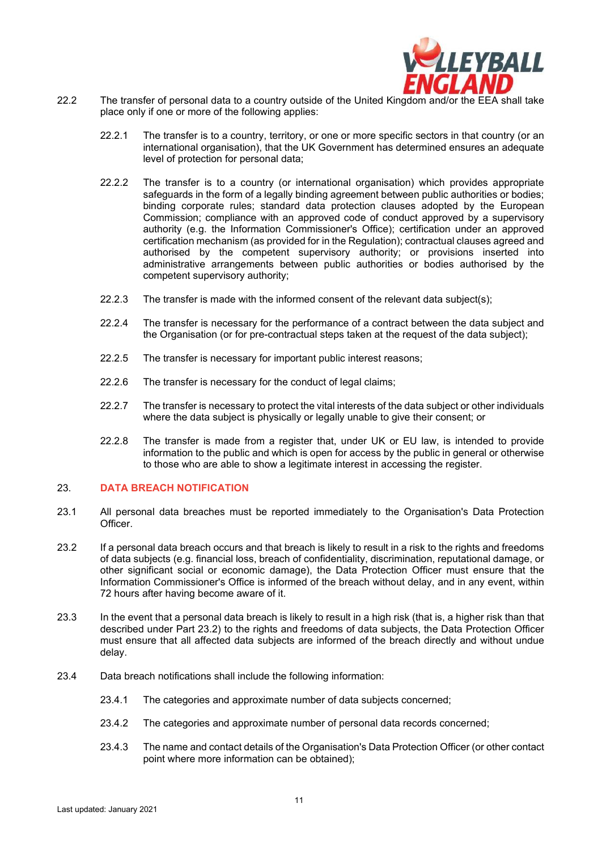

- 22.2 The transfer of personal data to a country outside of the United Kingdom and/or the EEA shall take place only if one or more of the following applies:
	- 22.2.1 The transfer is to a country, territory, or one or more specific sectors in that country (or an international organisation), that the UK Government has determined ensures an adequate level of protection for personal data;
	- 22.2.2 The transfer is to a country (or international organisation) which provides appropriate safeguards in the form of a legally binding agreement between public authorities or bodies; binding corporate rules; standard data protection clauses adopted by the European Commission; compliance with an approved code of conduct approved by a supervisory authority (e.g. the Information Commissioner's Office); certification under an approved certification mechanism (as provided for in the Regulation); contractual clauses agreed and authorised by the competent supervisory authority; or provisions inserted into administrative arrangements between public authorities or bodies authorised by the competent supervisory authority;
	- 22.2.3 The transfer is made with the informed consent of the relevant data subject(s);
	- 22.2.4 The transfer is necessary for the performance of a contract between the data subject and the Organisation (or for pre-contractual steps taken at the request of the data subject);
	- 22.2.5 The transfer is necessary for important public interest reasons;
	- 22.2.6 The transfer is necessary for the conduct of legal claims:
	- 22.2.7 The transfer is necessary to protect the vital interests of the data subject or other individuals where the data subject is physically or legally unable to give their consent; or
	- 22.2.8 The transfer is made from a register that, under UK or EU law, is intended to provide information to the public and which is open for access by the public in general or otherwise to those who are able to show a legitimate interest in accessing the register.

#### 23. **DATA BREACH NOTIFICATION**

- 23.1 All personal data breaches must be reported immediately to the Organisation's Data Protection Officer.
- <span id="page-10-0"></span>23.2 If a personal data breach occurs and that breach is likely to result in a risk to the rights and freedoms of data subjects (e.g. financial loss, breach of confidentiality, discrimination, reputational damage, or other significant social or economic damage), the Data Protection Officer must ensure that the Information Commissioner's Office is informed of the breach without delay, and in any event, within 72 hours after having become aware of it.
- 23.3 In the event that a personal data breach is likely to result in a high risk (that is, a higher risk than that described under Part [23.2\)](#page-10-0) to the rights and freedoms of data subjects, the Data Protection Officer must ensure that all affected data subjects are informed of the breach directly and without undue delay.
- 23.4 Data breach notifications shall include the following information:
	- 23.4.1 The categories and approximate number of data subjects concerned;
	- 23.4.2 The categories and approximate number of personal data records concerned;
	- 23.4.3 The name and contact details of the Organisation's Data Protection Officer (or other contact point where more information can be obtained);